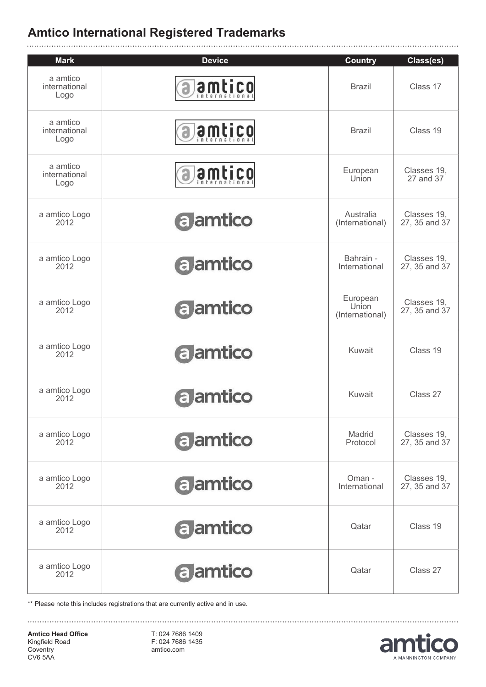| <b>Mark</b>                       | <b>Device</b>   | <b>Country</b>                       | Class(es)                    |
|-----------------------------------|-----------------|--------------------------------------|------------------------------|
| a amtico<br>international<br>Logo | amtico          | <b>Brazil</b>                        | Class 17                     |
| a amtico<br>international<br>Logo | amtico          | <b>Brazil</b>                        | Class 19                     |
| a amtico<br>international<br>Logo | amtico          | European<br>Union                    | Classes 19,<br>27 and 37     |
| a amtico Logo<br>2012             | a amtico        | Australia<br>(International)         | Classes 19.<br>27, 35 and 37 |
| a amtico Logo<br>2012             | a amtico        | Bahrain -<br>International           | Classes 19,<br>27, 35 and 37 |
| a amtico Logo<br>2012             | a amtico        | European<br>Union<br>(International) | Classes 19,<br>27, 35 and 37 |
| a amtico Logo<br>2012             | <b>a</b> amtico | Kuwait                               | Class 19                     |
| a amtico Logo<br>2012             | a amtico        | Kuwait                               | Class 27                     |
| a amtico Logo<br>2012             | a amtico        | Madrid<br>Protocol                   | Classes 19,<br>27, 35 and 37 |
| a amtico Logo<br>2012             | <b>a</b> amtico | Oman -<br>International              | Classes 19,<br>27, 35 and 37 |
| a amtico Logo<br>2012             | a amtico        | Qatar                                | Class 19                     |
| a amtico Logo<br>2012             | <b>a</b> amtico | Qatar                                | Class 27                     |

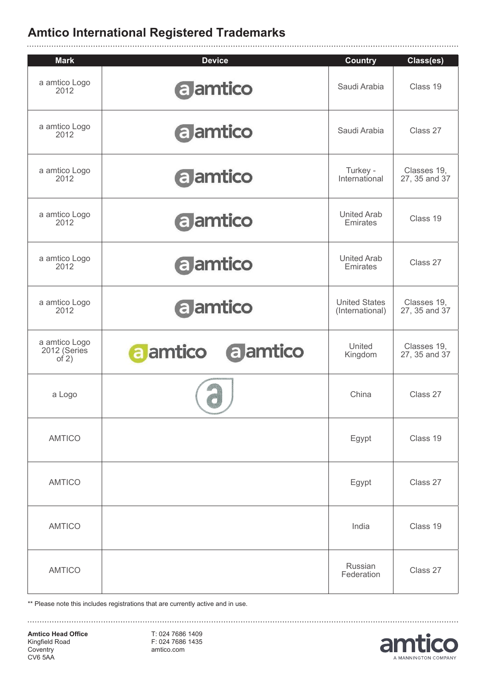|                                          | <b>Device</b>               |                                         |                              |
|------------------------------------------|-----------------------------|-----------------------------------------|------------------------------|
| <b>Mark</b><br>a amtico Logo<br>2012     | <b>a</b> amtico             | <b>Country</b><br>Saudi Arabia          | Class(es)<br>Class 19        |
| a amtico Logo<br>2012                    | <b>a</b> amtico             | Saudi Arabia                            | Class 27                     |
| a amtico Logo<br>2012                    | a amtico                    | Turkey -<br>International               | Classes 19,<br>27, 35 and 37 |
| a amtico Logo<br>2012                    | a amtico                    | <b>United Arab</b><br>Emirates          | Class 19                     |
| a amtico Logo<br>2012                    | a amtico                    | <b>United Arab</b><br>Emirates          | Class 27                     |
| a amtico Logo<br>2012                    | a amtico                    | <b>United States</b><br>(International) | Classes 19,<br>27, 35 and 37 |
| a amtico Logo<br>2012 (Series<br>of $2)$ | <b>a</b> amtico<br>a amtico | United<br>Kingdom                       | Classes 19,<br>27, 35 and 37 |
| a Logo                                   |                             | China                                   | Class 27                     |
| <b>AMTICO</b>                            |                             | Egypt                                   | Class 19                     |
| <b>AMTICO</b>                            |                             | Egypt                                   | Class 27                     |
| <b>AMTICO</b>                            |                             | India                                   | Class 19                     |
| <b>AMTICO</b>                            |                             | Russian<br>Federation                   | Class 27                     |

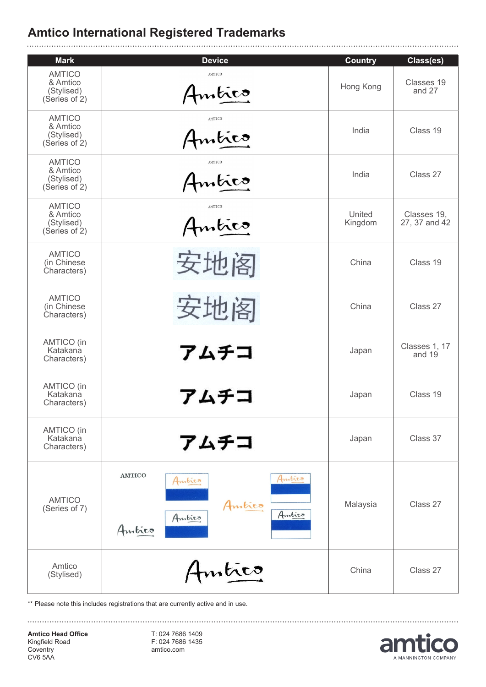| <b>Mark</b>                                              | <b>Device</b>                                                             | <b>Country</b>    | Class(es)                    |
|----------------------------------------------------------|---------------------------------------------------------------------------|-------------------|------------------------------|
| <b>AMTICO</b><br>& Amtico<br>(Stylised)<br>(Series of 2) | AMTICO<br>Amtico                                                          | Hong Kong         | Classes 19<br>and 27         |
| <b>AMTICO</b><br>& Amtico<br>(Stylised)<br>(Series of 2) | AMTICO<br>Amtico                                                          | India             | Class 19                     |
| <b>AMTICO</b><br>& Amtico<br>(Stylised)<br>(Series of 2) | AMTICO<br>Amtico                                                          | India             | Class 27                     |
| <b>AMTICO</b><br>& Amtico<br>(Stylised)<br>(Series of 2) | AMTICO<br>Amtico                                                          | United<br>Kingdom | Classes 19,<br>27, 37 and 42 |
| <b>AMTICO</b><br>(in Chinese<br>Characters)              | 安地阁                                                                       | China             | Class 19                     |
| <b>AMTICO</b><br>(in Chinese<br>Characters)              | 安地阁                                                                       | China             | Class 27                     |
| AMTICO (in<br>Katakana<br>Characters)                    | アムチコ                                                                      | Japan             | Classes 1, 17<br>and 19      |
| AMTICO (in<br>Katakana<br>Characters)                    | アムチコ                                                                      | Japan             | Class 19                     |
| AMTICO (in<br>Katakana<br>Characters)                    | アムチコ                                                                      | Japan             | Class 37                     |
| <b>AMTICO</b><br>(Series of 7)                           | <b>AMTICO</b><br>Amtico<br>Amtico<br>Amtico<br>Amtico<br>Amtico<br>Amtico | Malaysia          | Class 27                     |
| Amtico<br>(Stylised)                                     | Amtico                                                                    | China             | Class 27                     |

\*\* Please note this includes registrations that are currently active and in use.

**Amtico Head Office** Kingfield Road **Coventry** CV6 5AA

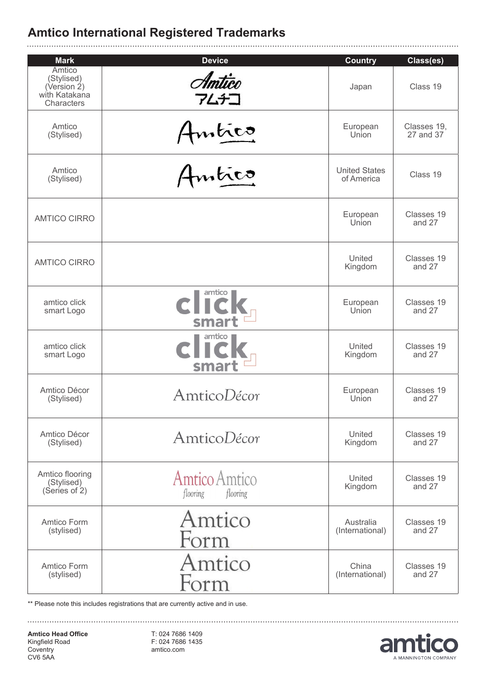| <b>Mark</b>                                                               | <b>Device</b>                         | <b>Country</b>                     | Class(es)            |
|---------------------------------------------------------------------------|---------------------------------------|------------------------------------|----------------------|
| <b>Amtico</b><br>(Stylised)<br>(Version 2)<br>with Katakana<br>Characters | Amtico<br>アムチコ                        | Japan                              | Class 19             |
| Amtico                                                                    | Amtico                                | European                           | Classes 19,          |
| (Stylised)                                                                |                                       | Union                              | 27 and 37            |
| Amtico<br>(Stylised)                                                      | Amtico                                | <b>United States</b><br>of America | Class 19             |
| <b>AMTICO CIRRO</b>                                                       |                                       | European<br>Union                  | Classes 19<br>and 27 |
| <b>AMTICO CIRRO</b>                                                       |                                       | United<br>Kingdom                  | Classes 19<br>and 27 |
| amtico click                                                              | CIICK                                 | European                           | Classes 19           |
| smart Logo                                                                |                                       | Union                              | and 27               |
| amtico click                                                              | click,                                | United                             | Classes 19           |
| smart Logo                                                                | smart                                 | Kingdom                            | and 27               |
| Amtico Décor                                                              | AmticoDécor                           | European                           | Classes 19           |
| (Stylised)                                                                |                                       | Union                              | and 27               |
| Amtico Décor                                                              | AmticoDécor                           | United                             | Classes 19           |
| (Stylised)                                                                |                                       | Kingdom                            | and 27               |
| Amtico flooring<br>(Stylised)<br>(Series of 2)                            | Amtico Amtico<br>flooring<br>flooring | United<br>Kingdom                  | Classes 19<br>and 27 |
| Amtico Form                                                               | Amtico                                | Australia                          | Classes 19           |
| (stylised)                                                                | Form                                  | (International)                    | and 27               |
| Amtico Form                                                               | Amtico                                | China                              | Classes 19           |
| (stylised)                                                                | Form                                  | (International)                    | and 27               |

\*\* Please note this includes registrations that are currently active and in use.

**Amtico Head Office** Kingfield Road **Coventry** CV6 5AA

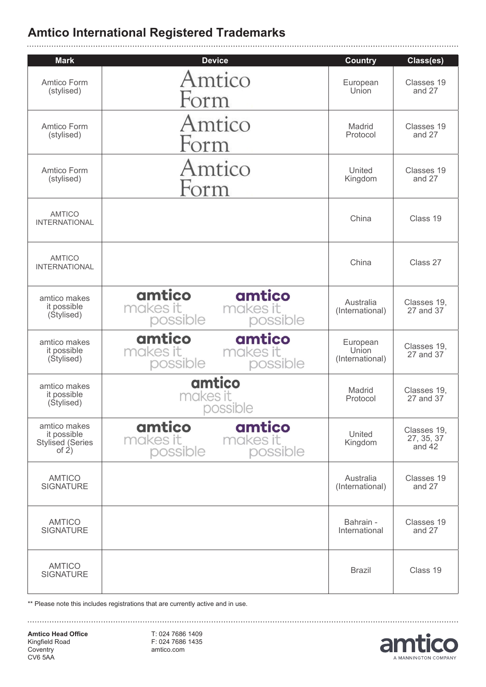| <b>Mark</b>                                                       | <b>Device</b>                                                    | <b>Country</b>                       | Class(es)                           |
|-------------------------------------------------------------------|------------------------------------------------------------------|--------------------------------------|-------------------------------------|
| Amtico Form<br>(stylised)                                         | Amtico<br>Form                                                   | European<br>Union                    | Classes 19<br>and 27                |
| Amtico Form<br>(stylised)                                         | Amtico<br>Form                                                   | Madrid<br>Protocol                   | Classes 19<br>and 27                |
| Amtico Form<br>(stylised)                                         | Amtico<br>Form                                                   | United<br>Kingdom                    | Classes 19<br>and 27                |
| <b>AMTICO</b><br><b>INTERNATIONAL</b>                             |                                                                  | China                                | Class 19                            |
| <b>AMTICO</b><br><b>INTERNATIONAL</b>                             |                                                                  | China                                | Class 27                            |
| amtico makes<br>it possible<br>(Stylised)                         | amtico<br>amtico<br>makes it<br>makes it<br>possible<br>possible | Australia<br>(International)         | Classes 19,<br>27 and 37            |
| amtico makes<br>it possible<br>(Stylised)                         | amtico<br>amtico<br>makes it<br>makes it<br>possible<br>possible | European<br>Union<br>(International) | Classes 19,<br>27 and 37            |
| amtico makes<br>it possible<br>(Stylised)                         | amtico<br>makes it<br>possible                                   | Madrid<br>Protocol                   | Classes 19,<br>27 and 37            |
| amtico makes<br>it possible<br><b>Stylised (Series</b><br>of $2)$ | amtico<br>amtico<br>makes it<br>makes it<br>possible<br>possible | United<br>Kingdom                    | Classes 19,<br>27, 35, 37<br>and 42 |
| <b>AMTICO</b><br><b>SIGNATURE</b>                                 |                                                                  | Australia<br>(International)         | Classes 19<br>and 27                |
| <b>AMTICO</b><br><b>SIGNATURE</b>                                 |                                                                  | Bahrain -<br>International           | Classes 19<br>and 27                |
| <b>AMTICO</b><br><b>SIGNATURE</b>                                 |                                                                  | <b>Brazil</b>                        | Class 19                            |

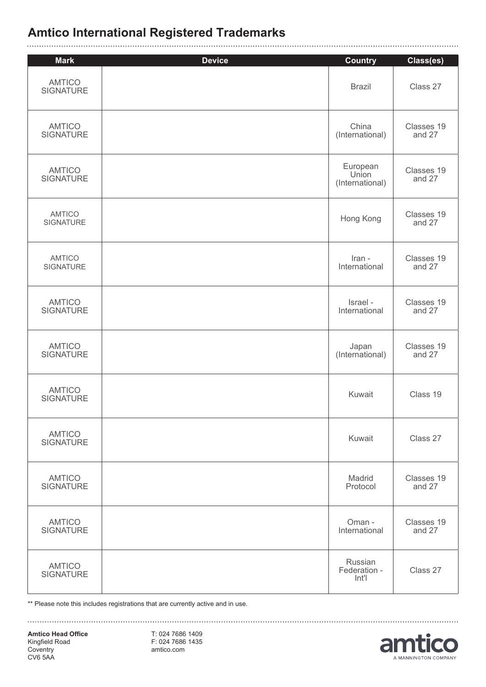| <b>Mark</b>                       | <b>Device</b> | <b>Country</b>                   | Class(es)            |
|-----------------------------------|---------------|----------------------------------|----------------------|
| <b>AMTICO</b><br><b>SIGNATURE</b> |               | <b>Brazil</b>                    | Class 27             |
| <b>AMTICO</b>                     |               | China                            | Classes 19           |
| <b>SIGNATURE</b>                  |               | (International)                  | and 27               |
| <b>AMTICO</b>                     |               | European<br>Union                | Classes 19           |
| <b>SIGNATURE</b>                  |               | (International)                  | and 27               |
| <b>AMTICO</b><br>SIGNATURE        |               | Hong Kong                        | Classes 19<br>and 27 |
| <b>AMTICO</b>                     |               | Iran -                           | Classes 19           |
| <b>SIGNATURE</b>                  |               | International                    | and 27               |
| <b>AMTICO</b>                     |               | Israel -                         | Classes 19           |
| <b>SIGNATURE</b>                  |               | International                    | and 27               |
| <b>AMTICO</b>                     |               | Japan                            | Classes 19           |
| <b>SIGNATURE</b>                  |               | (International)                  | and 27               |
| <b>AMTICO</b><br><b>SIGNATURE</b> |               | Kuwait                           | Class 19             |
| <b>AMTICO</b><br><b>SIGNATURE</b> |               | Kuwait                           | Class 27             |
| <b>AMTICO</b>                     |               | Madrid                           | Classes 19           |
| <b>SIGNATURE</b>                  |               | Protocol                         | and 27               |
| <b>AMTICO</b>                     |               | Oman -                           | Classes 19           |
| <b>SIGNATURE</b>                  |               | International                    | and 27               |
| <b>AMTICO</b><br><b>SIGNATURE</b> |               | Russian<br>Federation -<br>Int'l | Class 27             |

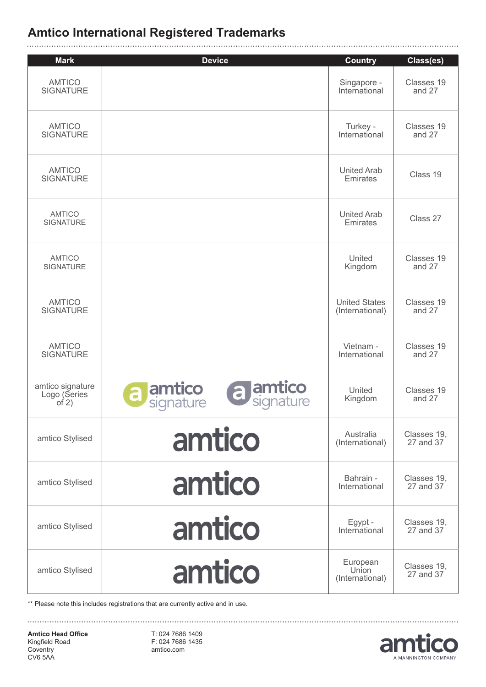| <b>Mark</b>                                 | <b>Device</b>                                     | <b>Country</b>                          | Class(es)                |
|---------------------------------------------|---------------------------------------------------|-----------------------------------------|--------------------------|
| <b>AMTICO</b><br><b>SIGNATURE</b>           |                                                   | Singapore -<br>International            | Classes 19<br>and 27     |
| <b>AMTICO</b><br><b>SIGNATURE</b>           |                                                   | Turkey -<br>International               | Classes 19<br>and 27     |
| <b>AMTICO</b><br><b>SIGNATURE</b>           |                                                   | <b>United Arab</b><br>Emirates          | Class 19                 |
| <b>AMTICO</b><br><b>SIGNATURE</b>           |                                                   | <b>United Arab</b><br>Emirates          | Class 27                 |
| <b>AMTICO</b><br>SIGNATURE                  |                                                   | United<br>Kingdom                       | Classes 19<br>and 27     |
| <b>AMTICO</b><br><b>SIGNATURE</b>           |                                                   | <b>United States</b><br>(International) | Classes 19<br>and 27     |
| <b>AMTICO</b><br><b>SIGNATURE</b>           |                                                   | Vietnam -<br>International              | Classes 19<br>and 27     |
| amtico signature<br>Logo (Series<br>of $2)$ | a amtico<br>amtico<br>a<br>signature<br>signature | United<br>Kingdom                       | Classes 19<br>and 27     |
| amtico Stylised                             | amtico                                            | Australia<br>(International)            | Classes 19,<br>27 and 37 |
| amtico Stylised                             | amtico                                            | Bahrain -<br>International              | Classes 19,<br>27 and 37 |
| amtico Stylised                             | amtico                                            | Egypt -<br>International                | Classes 19,<br>27 and 37 |
| amtico Stylised                             | amtico                                            | European<br>Union<br>(International)    | Classes 19,<br>27 and 37 |

\*\* Please note this includes registrations that are currently active and in use.

**Amtico Head Office** Kingfield Road **Coventry** CV6 5AA

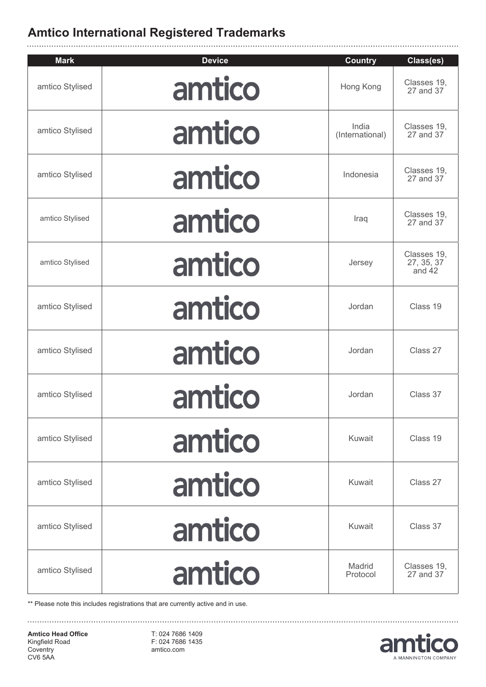| <b>Mark</b>     | <b>Device</b> | <b>Country</b>           | Class(es)                           |
|-----------------|---------------|--------------------------|-------------------------------------|
| amtico Stylised | amtico        | Hong Kong                | Classes 19,<br>27 and 37            |
| amtico Stylised | amtico        | India<br>(International) | Classes 19,<br>27 and 37            |
| amtico Stylised | amtico        | Indonesia                | Classes 19,<br>27 and 37            |
| amtico Stylised | amtico        | Iraq                     | Classes 19,<br>27 and 37            |
| amtico Stylised | amtico        | Jersey                   | Classes 19,<br>27, 35, 37<br>and 42 |
| amtico Stylised | amtico        | Jordan                   | Class 19                            |
| amtico Stylised | amtico        | Jordan                   | Class 27                            |
| amtico Stylised | amtico        | Jordan                   | Class 37                            |
| amtico Stylised | amtico        | Kuwait                   | Class 19                            |
| amtico Stylised | amtico        | Kuwait                   | Class 27                            |
| amtico Stylised | amtico        | Kuwait                   | Class 37                            |
| amtico Stylised | amtico        | Madrid<br>Protocol       | Classes 19,<br>27 and 37            |

\*\* Please note this includes registrations that are currently active and in use.

**Amtico Head Office** Kingfield Road **Coventry** CV6 5AA

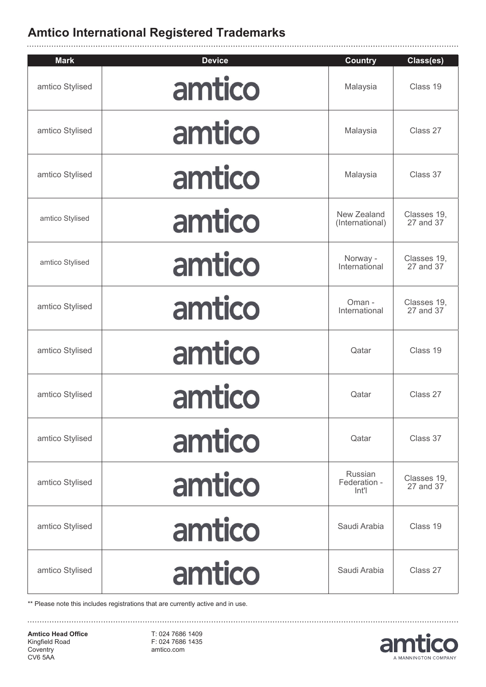| <b>Mark</b>     | <b>Device</b> | <b>Country</b>                   | Class(es)                |
|-----------------|---------------|----------------------------------|--------------------------|
| amtico Stylised | amtico        | Malaysia                         | Class 19                 |
| amtico Stylised | amtico        | Malaysia                         | Class 27                 |
| amtico Stylised | amtico        | Malaysia                         | Class 37                 |
| amtico Stylised | amtico        | New Zealand<br>(International)   | Classes 19,<br>27 and 37 |
| amtico Stylised | amtico        | Norway -<br>International        | Classes 19,<br>27 and 37 |
| amtico Stylised | amtico        | Oman -<br>International          | Classes 19,<br>27 and 37 |
| amtico Stylised | amtico        | Qatar                            | Class 19                 |
| amtico Stylised | amtico        | Qatar                            | Class 27                 |
| amtico Stylised | amtico        | Qatar                            | Class 37                 |
| amtico Stylised | amtico        | Russian<br>Federation -<br>Int'l | Classes 19,<br>27 and 37 |
| amtico Stylised | amtico        | Saudi Arabia                     | Class 19                 |
| amtico Stylised | amtico        | Saudi Arabia                     | Class 27                 |

\*\* Please note this includes registrations that are currently active and in use.

**Amtico Head Office** Kingfield Road **Coventry** CV6 5AA

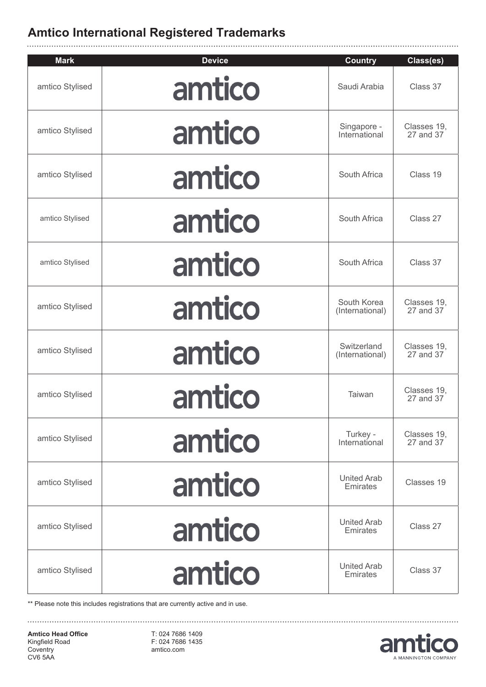| <b>Mark</b>     | <b>Device</b> | <b>Country</b>                 | Class(es)                |
|-----------------|---------------|--------------------------------|--------------------------|
| amtico Stylised | amtico        | Saudi Arabia                   | Class 37                 |
| amtico Stylised | amtico        | Singapore -<br>International   | Classes 19,<br>27 and 37 |
| amtico Stylised | amtico        | South Africa                   | Class 19                 |
| amtico Stylised | amtico        | South Africa                   | Class 27                 |
| amtico Stylised | amtico        | South Africa                   | Class 37                 |
| amtico Stylised | amtico        | South Korea<br>(International) | Classes 19,<br>27 and 37 |
| amtico Stylised | amtico        | Switzerland<br>(International) | Classes 19,<br>27 and 37 |
| amtico Stylised | amtico        | Taiwan                         | Classes 19,<br>27 and 37 |
| amtico Stylised | amtico        | Turkey -<br>International      | Classes 19,<br>27 and 37 |
| amtico Stylised | amtico        | <b>United Arab</b><br>Emirates | Classes 19               |
| amtico Stylised | amtico        | <b>United Arab</b><br>Emirates | Class 27                 |
| amtico Stylised | amtico        | <b>United Arab</b><br>Emirates | Class 37                 |

\*\* Please note this includes registrations that are currently active and in use.

**Amtico Head Office** Kingfield Road **Coventry** CV6 5AA

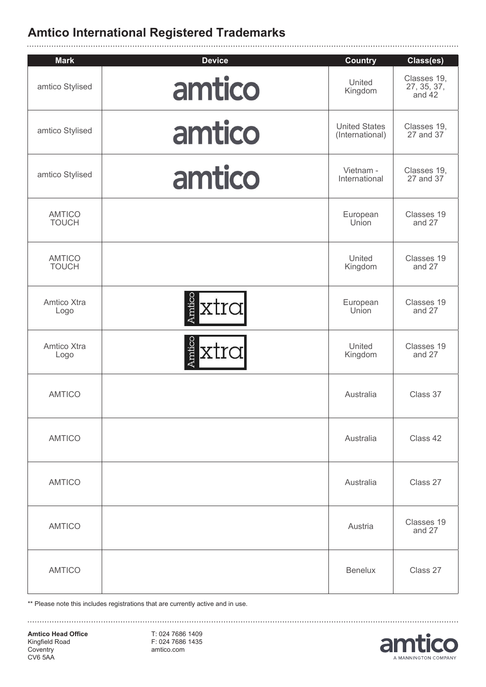| <b>Mark</b>                   | <b>Device</b>  | <b>Country</b>                          | Class(es)                            |
|-------------------------------|----------------|-----------------------------------------|--------------------------------------|
| amtico Stylised               | amtico         | United<br>Kingdom                       | Classes 19,<br>27, 35, 37,<br>and 42 |
| amtico Stylised               | amtico         | <b>United States</b><br>(International) | Classes 19,<br>27 and 37             |
| amtico Stylised               | amtico         | Vietnam -<br>International              | Classes 19,<br>27 and 37             |
| <b>AMTICO</b><br><b>TOUCH</b> |                | European<br>Union                       | Classes 19<br>and 27                 |
| <b>AMTICO</b><br><b>TOUCH</b> |                | United<br>Kingdom                       | Classes 19<br>and 27                 |
| Amtico Xtra<br>Logo           | Amtico<br>xtra | European<br>Union                       | Classes 19<br>and 27                 |
| Amtico Xtra<br>Logo           | Amticc<br>xtra | United<br>Kingdom                       | Classes 19<br>and 27                 |
| <b>AMTICO</b>                 |                | Australia                               | Class 37                             |
| <b>AMTICO</b>                 |                | Australia                               | Class 42                             |
| <b>AMTICO</b>                 |                | Australia                               | Class 27                             |
| <b>AMTICO</b>                 |                | Austria                                 | Classes 19<br>and 27                 |
| <b>AMTICO</b>                 |                | <b>Benelux</b>                          | Class 27                             |

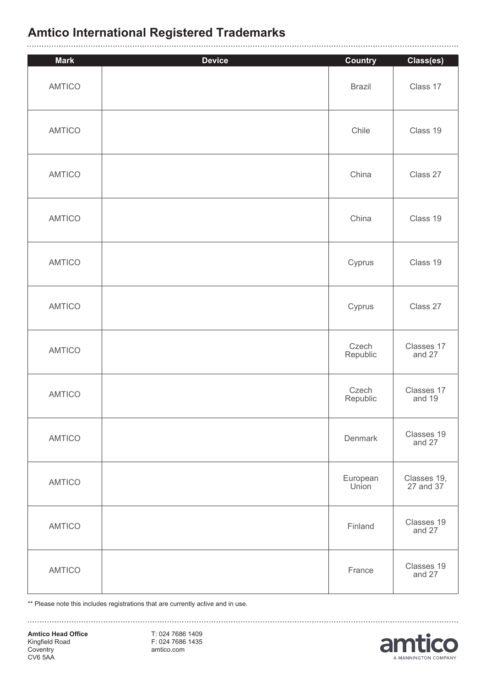| <b>Mark</b>   | <b>Device</b> | <b>Country</b>    | Class(es)                |
|---------------|---------------|-------------------|--------------------------|
| <b>AMTICO</b> |               | <b>Brazil</b>     | Class 17                 |
| <b>AMTICO</b> |               | Chile             | Class 19                 |
| <b>AMTICO</b> |               | China             | Class 27                 |
| <b>AMTICO</b> |               | China             | Class 19                 |
| <b>AMTICO</b> |               | Cyprus            | Class 19                 |
| <b>AMTICO</b> |               | Cyprus            | Class 27                 |
| <b>AMTICO</b> |               | Czech<br>Republic | Classes 17<br>and 27     |
| <b>AMTICO</b> |               | Czech<br>Republic | Classes 17<br>and 19     |
| <b>AMTICO</b> |               | Denmark           | Classes 19<br>and 27     |
| <b>AMTICO</b> |               | European<br>Union | Classes 19,<br>27 and 37 |
| <b>AMTICO</b> |               | Finland           | Classes 19<br>and 27     |
| <b>AMTICO</b> |               | France            | Classes 19<br>and 27     |

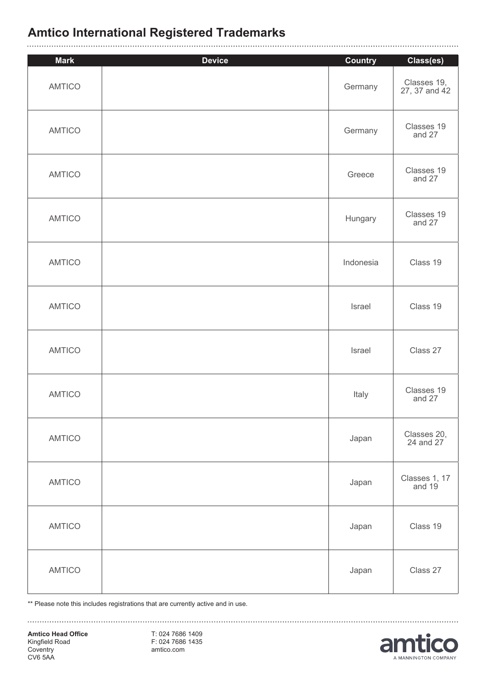#### **Amtico International Registered Trademarks** . . . . . . . . . . . . . .

| <b>Mark</b>   | <b>Device</b> | <b>Country</b> | Class(es)                    |
|---------------|---------------|----------------|------------------------------|
| <b>AMTICO</b> |               | Germany        | Classes 19,<br>27, 37 and 42 |
| <b>AMTICO</b> |               | Germany        | Classes 19<br>and 27         |
| <b>AMTICO</b> |               | Greece         | Classes 19<br>and 27         |
| <b>AMTICO</b> |               | Hungary        | Classes 19<br>and 27         |
| <b>AMTICO</b> |               | Indonesia      | Class 19                     |
| <b>AMTICO</b> |               | Israel         | Class 19                     |
| <b>AMTICO</b> |               | Israel         | Class 27                     |
| <b>AMTICO</b> |               | Italy          | Classes 19<br>and 27         |
| AMTICO        |               | Japan          | Classes 20,<br>24 and 27     |
| AMTICO        |               | Japan          | Classes 1, 17<br>and 19      |
| AMTICO        |               | Japan          | Class 19                     |
| AMTICO        |               | Japan          | Class 27                     |

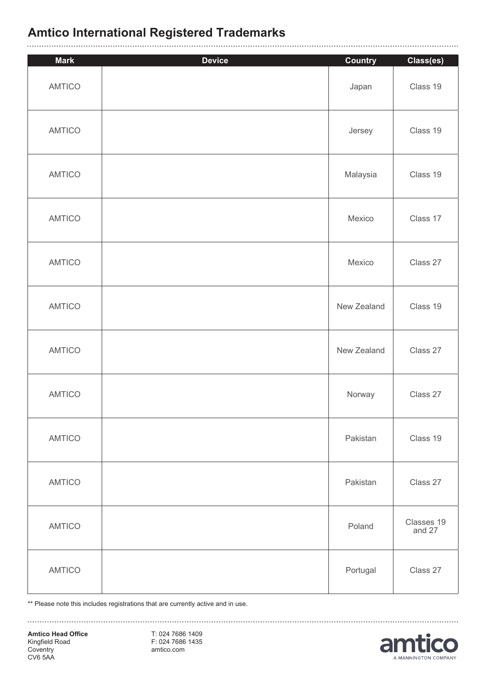| <b>Mark</b>   | <b>Device</b> | <b>Country</b> | Class(es)            |
|---------------|---------------|----------------|----------------------|
| <b>AMTICO</b> |               | Japan          | Class 19             |
| <b>AMTICO</b> |               | Jersey         | Class 19             |
| AMTICO        |               | Malaysia       | Class 19             |
| <b>AMTICO</b> |               | Mexico         | Class 17             |
| <b>AMTICO</b> |               | Mexico         | Class 27             |
| <b>AMTICO</b> |               | New Zealand    | Class 19             |
| AMTICO        |               | New Zealand    | Class 27             |
| <b>AMTICO</b> |               | Norway         | Class 27             |
| <b>AMTICO</b> |               | Pakistan       | Class 19             |
| AMTICO        |               | Pakistan       | Class 27             |
| <b>AMTICO</b> |               | Poland         | Classes 19<br>and 27 |
| <b>AMTICO</b> |               | Portugal       | Class 27             |

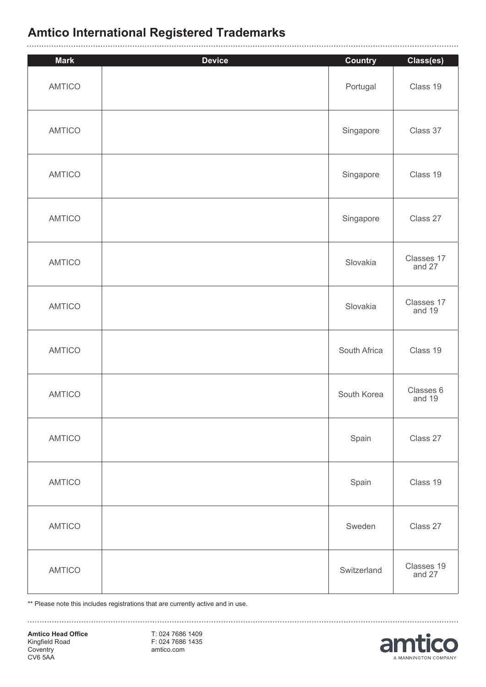| <b>Mark</b>   | <b>Device</b> |                            |                       |
|---------------|---------------|----------------------------|-----------------------|
| <b>AMTICO</b> |               | <b>Country</b><br>Portugal | Class(es)<br>Class 19 |
| <b>AMTICO</b> |               | Singapore                  | Class 37              |
| <b>AMTICO</b> |               | Singapore                  | Class 19              |
| <b>AMTICO</b> |               | Singapore                  | Class 27              |
| <b>AMTICO</b> |               | Slovakia                   | Classes 17<br>and 27  |
| <b>AMTICO</b> |               | Slovakia                   | Classes 17<br>and 19  |
| <b>AMTICO</b> |               | South Africa               | Class 19              |
| <b>AMTICO</b> |               | South Korea                | Classes 6<br>and 19   |
| <b>AMTICO</b> |               | Spain                      | Class 27              |
| <b>AMTICO</b> |               | Spain                      | Class 19              |
| <b>AMTICO</b> |               | Sweden                     | Class 27              |
| <b>AMTICO</b> |               | Switzerland                | Classes 19<br>and 27  |

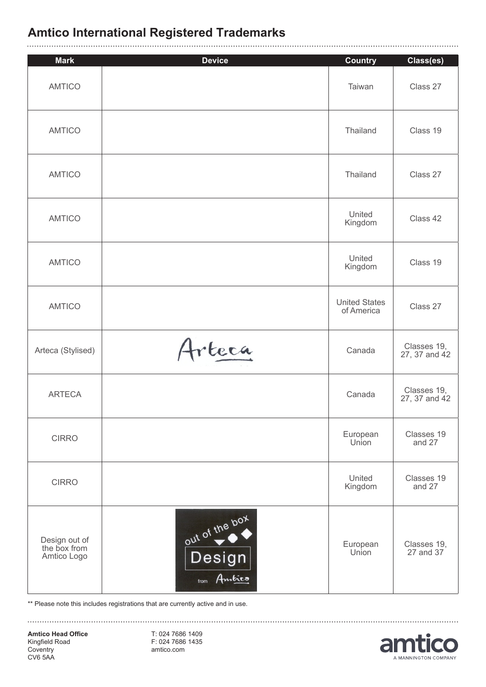| <b>Mark</b>                                  | <b>Device</b>                           | <b>Country</b>                     | Class(es)                    |
|----------------------------------------------|-----------------------------------------|------------------------------------|------------------------------|
| <b>AMTICO</b>                                |                                         | Taiwan                             | Class 27                     |
| <b>AMTICO</b>                                |                                         | Thailand                           | Class 19                     |
| <b>AMTICO</b>                                |                                         | Thailand                           | Class 27                     |
| <b>AMTICO</b>                                |                                         | United<br>Kingdom                  | Class 42                     |
| <b>AMTICO</b>                                |                                         | United<br>Kingdom                  | Class 19                     |
| <b>AMTICO</b>                                |                                         | <b>United States</b><br>of America | Class 27                     |
| Arteca (Stylised)                            | Arteca                                  | Canada                             | Classes 19,<br>27, 37 and 42 |
| <b>ARTECA</b>                                |                                         | Canada                             | Classes 19,<br>27, 37 and 42 |
| <b>CIRRO</b>                                 |                                         | European<br>Union                  | Classes 19<br>and 27         |
| <b>CIRRO</b>                                 |                                         | United<br>Kingdom                  | Classes 19<br>and 27         |
| Design out of<br>the box from<br>Amtico Logo | out of the box<br>Design<br>from Ambico | European<br>Union                  | Classes 19,<br>27 and 37     |

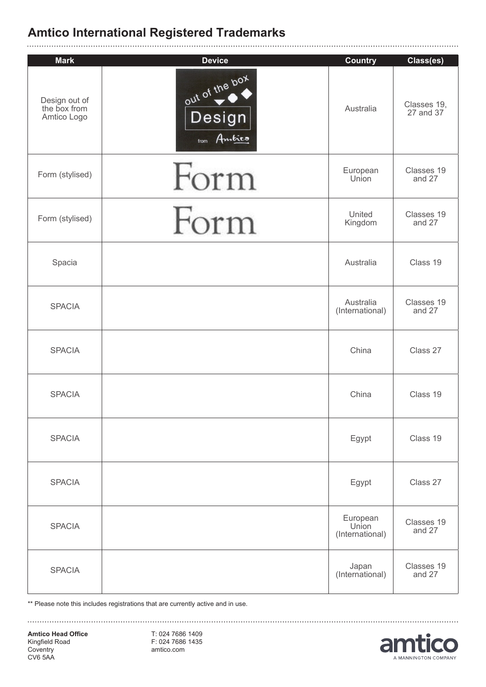| <b>Mark</b>                                  | <b>Device</b>                              | <b>Country</b>                       | Class(es)                |
|----------------------------------------------|--------------------------------------------|--------------------------------------|--------------------------|
| Design out of<br>the box from<br>Amtico Logo | out of the box<br>Design<br>Ambico<br>from | Australia                            | Classes 19,<br>27 and 37 |
| Form (stylised)                              | Form                                       | European<br>Union                    | Classes 19<br>and 27     |
| Form (stylised)                              | Form                                       | United<br>Kingdom                    | Classes 19<br>and 27     |
| Spacia                                       |                                            | Australia                            | Class 19                 |
| <b>SPACIA</b>                                |                                            | Australia<br>(International)         | Classes 19<br>and 27     |
| <b>SPACIA</b>                                |                                            | China                                | Class 27                 |
| <b>SPACIA</b>                                |                                            | China                                | Class 19                 |
| <b>SPACIA</b>                                |                                            | Egypt                                | Class 19                 |
| <b>SPACIA</b>                                |                                            | Egypt                                | Class 27                 |
| <b>SPACIA</b>                                |                                            | European<br>Union<br>(International) | Classes 19<br>and 27     |
| <b>SPACIA</b>                                |                                            | Japan<br>(International)             | Classes 19<br>and 27     |

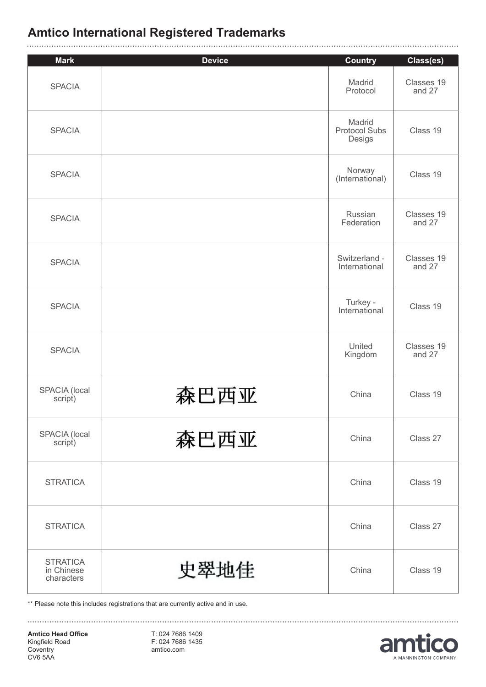| <b>Mark</b>                                 | <b>Device</b> | <b>Country</b>                           | Class(es)            |
|---------------------------------------------|---------------|------------------------------------------|----------------------|
| <b>SPACIA</b>                               |               | Madrid<br>Protocol                       | Classes 19<br>and 27 |
| <b>SPACIA</b>                               |               | Madrid<br><b>Protocol Subs</b><br>Desigs | Class 19             |
| <b>SPACIA</b>                               |               | Norway<br>(International)                | Class 19             |
| <b>SPACIA</b>                               |               | Russian<br>Federation                    | Classes 19<br>and 27 |
| <b>SPACIA</b>                               |               | Switzerland -<br>International           | Classes 19<br>and 27 |
| <b>SPACIA</b>                               |               | Turkey -<br>International                | Class 19             |
| <b>SPACIA</b>                               |               | United<br>Kingdom                        | Classes 19<br>and 27 |
| <b>SPACIA</b> (local<br>script)             | 森巴西亚          | China                                    | Class 19             |
| SPACIA (local<br>script)                    | 森巴西亚          | China                                    | Class 27             |
| <b>STRATICA</b>                             |               | China                                    | Class 19             |
| <b>STRATICA</b>                             |               | China                                    | Class 27             |
| <b>STRATICA</b><br>in Chinese<br>characters | 史翠地佳          | China                                    | Class 19             |

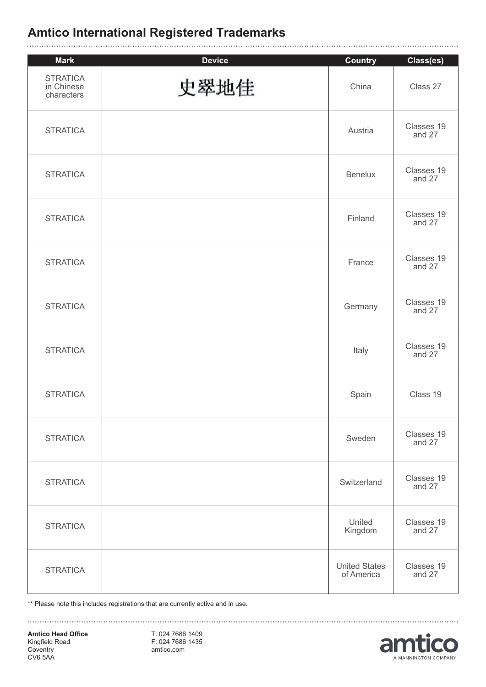| <b>Mark</b>                                 | <b>Device</b> | <b>Country</b>                     | Class(es)            |
|---------------------------------------------|---------------|------------------------------------|----------------------|
| <b>STRATICA</b><br>in Chinese<br>characters | 史翠地佳          | China                              | Class 27             |
| <b>STRATICA</b>                             |               | Austria                            | Classes 19<br>and 27 |
| <b>STRATICA</b>                             |               | <b>Benelux</b>                     | Classes 19<br>and 27 |
| <b>STRATICA</b>                             |               | Finland                            | Classes 19<br>and 27 |
| <b>STRATICA</b>                             |               | France                             | Classes 19<br>and 27 |
| <b>STRATICA</b>                             |               | Germany                            | Classes 19<br>and 27 |
| <b>STRATICA</b>                             |               | Italy                              | Classes 19<br>and 27 |
| <b>STRATICA</b>                             |               | Spain                              | Class 19             |
| <b>STRATICA</b>                             |               | Sweden                             | Classes 19<br>and 27 |
| <b>STRATICA</b>                             |               | Switzerland                        | Classes 19<br>and 27 |
| <b>STRATICA</b>                             |               | United<br>Kingdom                  | Classes 19<br>and 27 |
| <b>STRATICA</b>                             |               | <b>United States</b><br>of America | Classes 19<br>and 27 |